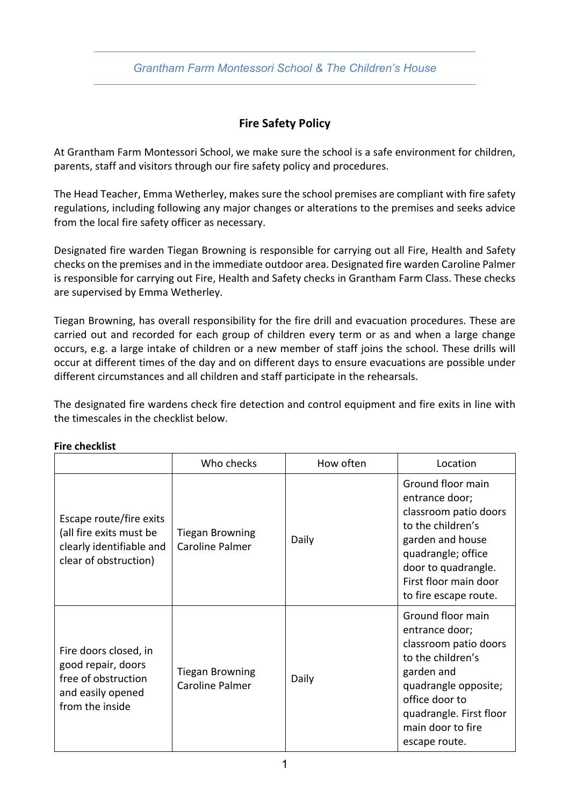### *Grantham Farm Montessori School & The Children's House*

# **Fire Safety Policy**

At Grantham Farm Montessori School, we make sure the school is a safe environment for children, parents, staff and visitors through our fire safety policy and procedures.

The Head Teacher, Emma Wetherley, makes sure the school premises are compliant with fire safety regulations, including following any major changes or alterations to the premises and seeks advice from the local fire safety officer as necessary.

Designated fire warden Tiegan Browning is responsible for carrying out all Fire, Health and Safety checks on the premises and in the immediate outdoor area. Designated fire warden Caroline Palmer is responsible for carrying out Fire, Health and Safety checks in Grantham Farm Class. These checks are supervised by Emma Wetherley.

Tiegan Browning, has overall responsibility for the fire drill and evacuation procedures. These are carried out and recorded for each group of children every term or as and when a large change occurs, e.g. a large intake of children or a new member of staff joins the school. These drills will occur at different times of the day and on different days to ensure evacuations are possible under different circumstances and all children and staff participate in the rehearsals.

The designated fire wardens check fire detection and control equipment and fire exits in line with the timescales in the checklist below.

|                                                                                                            | Who checks                                       | How often | Location                                                                                                                                                                                                   |
|------------------------------------------------------------------------------------------------------------|--------------------------------------------------|-----------|------------------------------------------------------------------------------------------------------------------------------------------------------------------------------------------------------------|
| Escape route/fire exits<br>(all fire exits must be<br>clearly identifiable and<br>clear of obstruction)    | <b>Tiegan Browning</b><br>Caroline Palmer        | Daily     | Ground floor main<br>entrance door;<br>classroom patio doors<br>to the children's<br>garden and house<br>quadrangle; office<br>door to quadrangle.<br>First floor main door<br>to fire escape route.       |
| Fire doors closed, in<br>good repair, doors<br>free of obstruction<br>and easily opened<br>from the inside | <b>Tiegan Browning</b><br><b>Caroline Palmer</b> | Daily     | Ground floor main<br>entrance door;<br>classroom patio doors<br>to the children's<br>garden and<br>quadrangle opposite;<br>office door to<br>quadrangle. First floor<br>main door to fire<br>escape route. |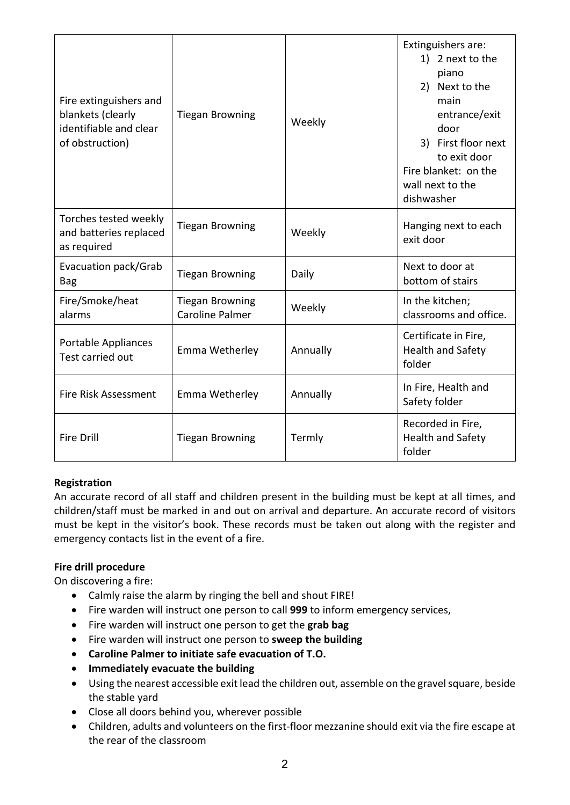| Fire extinguishers and<br>blankets (clearly<br>identifiable and clear<br>of obstruction) | <b>Tiegan Browning</b>                           | Weekly   | Extinguishers are:<br>1) 2 next to the<br>piano<br>2) Next to the<br>main<br>entrance/exit<br>door<br>3) First floor next<br>to exit door<br>Fire blanket: on the<br>wall next to the<br>dishwasher |
|------------------------------------------------------------------------------------------|--------------------------------------------------|----------|-----------------------------------------------------------------------------------------------------------------------------------------------------------------------------------------------------|
| Torches tested weekly<br>and batteries replaced<br>as required                           | <b>Tiegan Browning</b>                           | Weekly   | Hanging next to each<br>exit door                                                                                                                                                                   |
| Evacuation pack/Grab<br><b>Bag</b>                                                       | <b>Tiegan Browning</b>                           | Daily    | Next to door at<br>bottom of stairs                                                                                                                                                                 |
| Fire/Smoke/heat<br>alarms                                                                | <b>Tiegan Browning</b><br><b>Caroline Palmer</b> | Weekly   | In the kitchen;<br>classrooms and office.                                                                                                                                                           |
| Portable Appliances<br>Test carried out                                                  | Emma Wetherley                                   | Annually | Certificate in Fire,<br><b>Health and Safety</b><br>folder                                                                                                                                          |
| <b>Fire Risk Assessment</b>                                                              | Emma Wetherley                                   | Annually | In Fire, Health and<br>Safety folder                                                                                                                                                                |
| <b>Fire Drill</b>                                                                        | <b>Tiegan Browning</b>                           | Termly   | Recorded in Fire,<br>Health and Safety<br>folder                                                                                                                                                    |

### **Registration**

An accurate record of all staff and children present in the building must be kept at all times, and children/staff must be marked in and out on arrival and departure. An accurate record of visitors must be kept in the visitor's book. These records must be taken out along with the register and emergency contacts list in the event of a fire.

### **Fire drill procedure**

On discovering a fire:

- Calmly raise the alarm by ringing the bell and shout FIRE!
- Fire warden will instruct one person to call **999** to inform emergency services,
- Fire warden will instruct one person to get the **grab bag**
- Fire warden will instruct one person to **sweep the building**
- **Caroline Palmer to initiate safe evacuation of T.O.**
- **Immediately evacuate the building**
- Using the nearest accessible exit lead the children out, assemble on the gravel square, beside the stable yard
- Close all doors behind you, wherever possible
- Children, adults and volunteers on the first-floor mezzanine should exit via the fire escape at the rear of the classroom